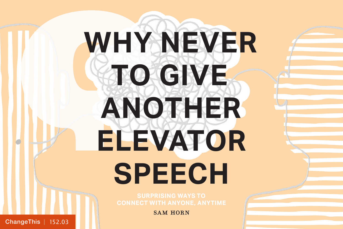# **WHY NEVER TO GIVE ANOTHER ELEVATOR SPEECH**

**CONNECT WITH ANYONE, ANYTIME** 

**SAM HORN** 

 $$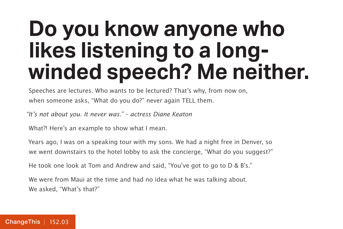# **Do you know anyone who likes listening to a longwinded speech? Me neither.**

Speeches are lectures. Who wants to be lectured? That's why, from now on, when someone asks, "What do you do?" never again TELL them.

"It's not about you. It never was." – actress Diane Keaton

What?! Here's an example to show what I mean.

Years ago, I was on a speaking tour with my sons. We had a night free in Denver, so we went downstairs to the hotel lobby to ask the concierge, "What do you suggest?"

He took one look at Tom and Andrew and said, "You've got to go to D & B's."

We were from Maui at the time and had no idea what he was talking about. We asked, "What's that?"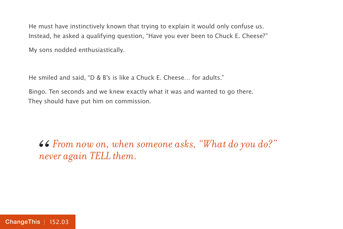He must have instinctively known that trying to explain it would only confuse us. Instead, he asked a qualifying question, "Have you ever been to Chuck E. Cheese?" My sons nodded enthusiastically.

He smiled and said, "D & B's is like a Chuck E. Cheese… for adults."

Bingo. Ten seconds and we knew exactly what it was and wanted to go there. They should have put him on commission.

*From now on, when someone asks, "What do you do?" " never again TELL them.*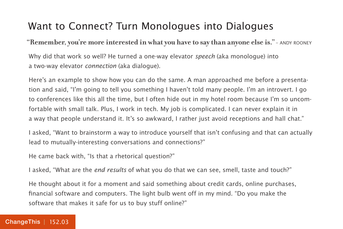## Want to Connect? Turn Monologues into Dialogues

**"Remember, you're more interested in what you have to say than anyone else is."**– ANDY ROONEY

Why did that work so well? He turned a one-way elevator *speech* (aka monologue) into a two-way elevator connection (aka dialogue).

Here's an example to show how you can do the same. A man approached me before a presentation and said, "I'm going to tell you something I haven't told many people. I'm an introvert. I go to conferences like this all the time, but I often hide out in my hotel room because I'm so uncomfortable with small talk. Plus, I work in tech. My job is complicated. I can never explain it in a way that people understand it. It's so awkward, I rather just avoid receptions and hall chat."

I asked, "Want to brainstorm a way to introduce yourself that isn't confusing and that can actually lead to mutually-interesting conversations and connections?"

He came back with, "Is that a rhetorical question?"

I asked, "What are the *end results* of what you do that we can see, smell, taste and touch?"

He thought about it for a moment and said something about credit cards, online purchases, financial software and computers. The light bulb went off in my mind. "Do you make the software that makes it safe for us to buy stuff online?"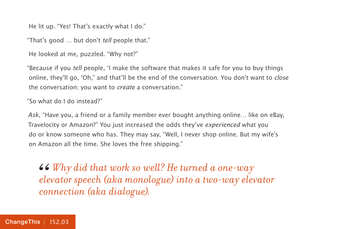He lit up. "Yes! That's exactly what I do."

"That's good … but don't tell people that."

He looked at me, puzzled. "Why not?"

"Because if you tell people, 'I make the software that makes it safe for you to buy things online, they'll go, 'Oh," and that'll be the end of the conversation. You don't want to *close* the conversation; you want to create a conversation."

"So what do I do instead?"

Ask, "Have you, a friend or a family member ever bought anything online... like on eBay, Travelocity or Amazon?" You just increased the odds they've experienced what you do or know someone who has. They may say, "Well, I never shop online. But my wife's on Amazon all the time. She loves the free shipping."

*Why did that work so well? He turned a one-way elevator speech (aka monologue) into a two-way elevator connection (aka dialogue).* 66<br>|ele<br>|col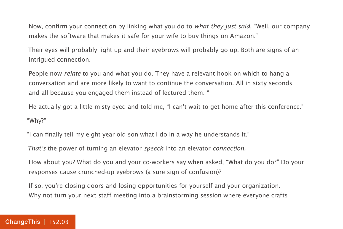Now, confirm your connection by linking what you do to *what they just said*, "Well, our company makes the software that makes it safe for your wife to buy things on Amazon."

Their eyes will probably light up and their eyebrows will probably go up. Both are signs of an intrigued connection.

People now relate to you and what you do. They have a relevant hook on which to hang a conversation and are more likely to want to continue the conversation. All in sixty seconds and all because you engaged them instead of lectured them. "

He actually got a little misty-eyed and told me, "I can't wait to get home after this conference." "Why?"

"I can finally tell my eight year old son what I do in a way he understands it."

That's the power of turning an elevator *speech* into an elevator *connection*.

How about you? What do you and your co-workers say when asked, "What do you do?" Do your responses cause crunched-up eyebrows (a sure sign of confusion)?

If so, you're closing doors and losing opportunities for yourself and your organization. Why not turn your next staff meeting into a brainstorming session where everyone crafts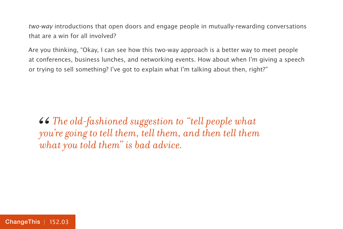two-way introductions that open doors and engage people in mutually-rewarding conversations that are a win for all involved?

Are you thinking, "Okay, I can see how this two-way approach is a better way to meet people at conferences, business lunches, and networking events. How about when I'm giving a speech or trying to sell something? I've got to explain what I'm talking about then, right?"

*The old-fashioned suggestion to "tell people what you're going to tell them, tell them, and then tell them what you told them" is bad advice.* 66<br>*yo*<br>*wk*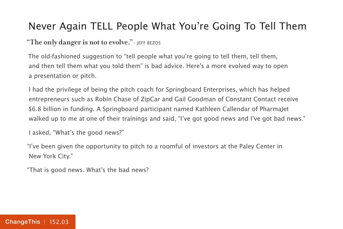## Never Again TELL People What You're Going To Tell Them

## **"The only danger is not to evolve."** – JEFF BEZOS

The old-fashioned suggestion to "tell people what you're going to tell them, tell them, and then tell them what you told them" is bad advice. Here's a more evolved way to open a presentation or pitch.

I had the privilege of being the pitch coach for Springboard Enterprises, which has helped entrepreneurs such as Robin Chase of ZipCar and Gail Goodman of Constant Contact receive \$6.8 billion in funding. A Springboard participant named Kathleen Callendar of PharmaJet walked up to me at one of their trainings and said, "I've got good news and I've got bad news."

I asked, "What's the good news?"

"I've been given the opportunity to pitch to a roomful of investors at the Paley Center in New York City."

"That is good news. What's the bad news?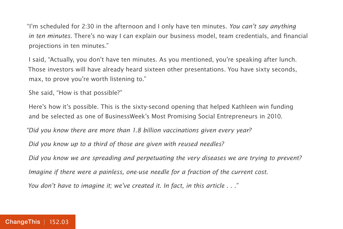"I'm scheduled for 2:30 in the afternoon and I only have ten minutes. You can't say anything in ten minutes. There's no way I can explain our business model, team credentials, and financial projections in ten minutes."

I said, "Actually, you don't have ten minutes. As you mentioned, you're speaking after lunch. Those investors will have already heard sixteen other presentations. You have sixty seconds, max, to prove you're worth listening to."

She said, "How is that possible?"

Here's how it's possible. This is the sixty-second opening that helped Kathleen win funding and be selected as one of BusinessWeek's Most Promising Social Entrepreneurs in 2010.

"Did you know there are more than 1.8 billion vaccinations given every year?

Did you know up to a third of those are given with reused needles?

Did you know we are spreading and perpetuating the very diseases we are trying to prevent? Imagine if there were a painless, one-use needle for a fraction of the current cost. You don't have to imagine it; we've created it. In fact, in this article . . ."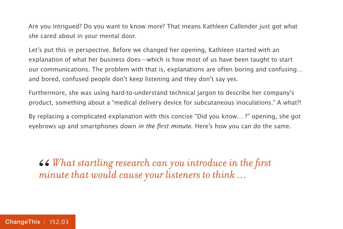Are you intrigued? Do you want to know more? That means Kathleen Callender just got what she cared about in your mental door.

Let's put this in perspective. Before we changed her opening, Kathleen started with an explanation of what her business does—which is how most of us have been taught to start our communications. The problem with that is, explanations are often boring and confusing… and bored, confused people don't keep listening and they don't say yes.

Furthermore, she was using hard-to-understand technical jargon to describe her company's product, something about a "medical delivery device for subcutaneous inoculations." A what?!

By replacing a complicated explanation with this concise "Did you know… ?" opening, she got eyebrows up and smartphones down in the first minute. Here's how you can do the same.

 $\bullet$   $\bullet$   $\!\!\!\!$   $\!\!\!$   $\!\!\!$   $\!\!\!$   $\!\!\!$   $\!\!\!$   $\!\!\!$   $\!\!\!$   $\!\!\!$   $\!\!\!$   $\!\!\!$   $\!\!\!$   $\!\!\!$   $\!\!\!$   $\!\!\!$   $\!\!\!$   $\!\!\!$   $\!\!\!$   $\!\!\!$   $\!\!\!$   $\!\!\!$   $\!\!\!$   $\!\!\!$   $\!\!\!$   $\!\!\!$   $\!\!\!$   $\!\!\!$   $\!\!\!$   $\!\!\!$   $\!\!\!$  *minute that would cause your listeners to think …*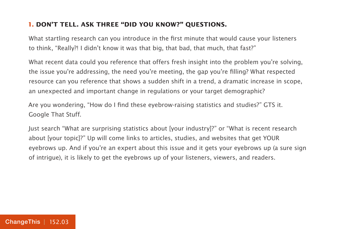## **1. DON'T TELL. ASK THREE "DID YOU KNOW?" QUESTIONS.**

What startling research can you introduce in the first minute that would cause your listeners to think, "Really?! I didn't know it was that big, that bad, that much, that fast?"

What recent data could you reference that offers fresh insight into the problem you're solving, the issue you're addressing, the need you're meeting, the gap you're filling? What respected resource can you reference that shows a sudden shift in a trend, a dramatic increase in scope, an unexpected and important change in regulations or your target demographic?

Are you wondering, "How do I find these eyebrow-raising statistics and studies?" GTS it. Google That Stuff.

Just search "What are surprising statistics about [your industry]?" or "What is recent research about [your topic]?" Up will come links to articles, studies, and websites that get YOUR eyebrows up. And if you're an expert about this issue and it gets your eyebrows up (a sure sign of intrigue), it is likely to get the eyebrows up of your listeners, viewers, and readers.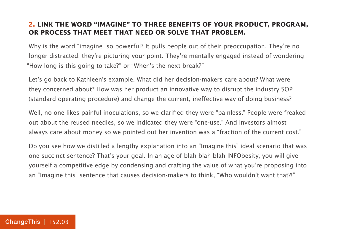#### **2. LINK THE WORD "IMAGINE" TO THREE BENEFITS OF YOUR PRODUCT, PROGRAM, OR PROCESS THAT MEET THAT NEED OR SOLVE THAT PROBLEM.**

Why is the word "imagine" so powerful? It pulls people out of their preoccupation. They're no longer distracted; they're picturing your point. They're mentally engaged instead of wondering "How long is this going to take?" or "When's the next break?"

Let's go back to Kathleen's example. What did her decision-makers care about? What were they concerned about? How was her product an innovative way to disrupt the industry SOP (standard operating procedure) and change the current, ineffective way of doing business?

Well, no one likes painful inoculations, so we clarified they were "painless." People were freaked out about the reused needles, so we indicated they were "one-use." And investors almost always care about money so we pointed out her invention was a "fraction of the current cost."

Do you see how we distilled a lengthy explanation into an "Imagine this" ideal scenario that was one succinct sentence? That's your goal. In an age of blah-blah-blah INFObesity, you will give yourself a competitive edge by condensing and crafting the value of what you're proposing into an "Imagine this" sentence that causes decision-makers to think, "Who wouldn't want that?!"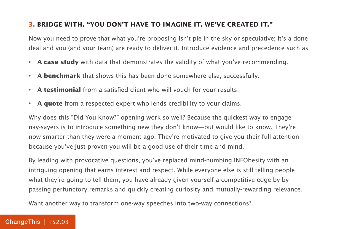## **3. BRIDGE WITH, "YOU DON'T HAVE TO IMAGINE IT, WE'VE CREATED IT."**

Now you need to prove that what you're proposing isn't pie in the sky or speculative; it's a done deal and you (and your team) are ready to deliver it. Introduce evidence and precedence such as:

- **A case study** with data that demonstrates the validity of what you've recommending.
- **A benchmark** that shows this has been done somewhere else, successfully.
- **A testimonial** from a satisfied client who will vouch for your results.
- **A quote** from a respected expert who lends credibility to your claims.

Why does this "Did You Know?" opening work so well? Because the quickest way to engage nay-sayers is to introduce something new they don't know—but would like to know. They're now smarter than they were a moment ago. They're motivated to give you their full attention because you've just proven you will be a good use of their time and mind.

By leading with provocative questions, you've replaced mind-numbing INFObesity with an intriguing opening that earns interest and respect. While everyone else is still telling people what they're going to tell them, you have already given yourself a competitive edge by bypassing perfunctory remarks and quickly creating curiosity and mutually-rewarding relevance.

Want another way to transform one-way speeches into two-way connections?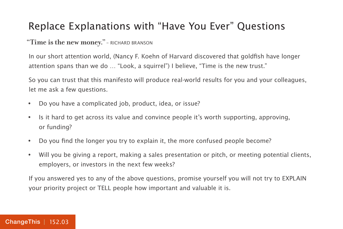## Replace Explanations with "Have You Ever" Questions

**"Time is the new money."**– RICHARD BRANSON

In our short attention world, (Nancy F. Koehn of Harvard discovered that goldfish have longer attention spans than we do … "Look, a squirrel") I believe, "Time is the new trust."

So you can trust that this manifesto will produce real-world results for you and your colleagues, let me ask a few questions.

- Do you have a complicated job, product, idea, or issue?
- Is it hard to get across its value and convince people it's worth supporting, approving, or funding?
- Do you find the longer you try to explain it, the more confused people become?
- Will you be giving a report, making a sales presentation or pitch, or meeting potential clients, employers, or investors in the next few weeks?

If you answered yes to any of the above questions, promise yourself you will not try to EXPLAIN your priority project or TELL people how important and valuable it is.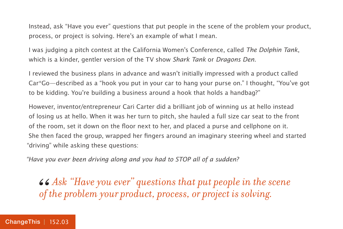Instead, ask "Have you ever" questions that put people in the scene of the problem your product, process, or project is solving. Here's an example of what I mean.

I was judging a pitch contest at the California Women's Conference, called The Dolphin Tank, which is a kinder, gentler version of the TV show Shark Tank or Dragons Den.

I reviewed the business plans in advance and wasn't initially impressed with a product called Car\*Go—described as a "hook you put in your car to hang your purse on." I thought, "You've got to be kidding. You're building a business around a hook that holds a handbag?"

However, inventor/entrepreneur Cari Carter did a brilliant job of winning us at hello instead of losing us at hello. When it was her turn to pitch, she hauled a full size car seat to the front of the room, set it down on the floor next to her, and placed a purse and cellphone on it. She then faced the group, wrapped her fingers around an imaginary steering wheel and started "driving" while asking these questions:

"Have you ever been driving along and you had to STOP all of a sudden?

 $\emph{66 Ask}$  "Have you ever" questions that put people in the scene of the problem your product, process, or project is solving. *of the problem your product, process, or project is solving.*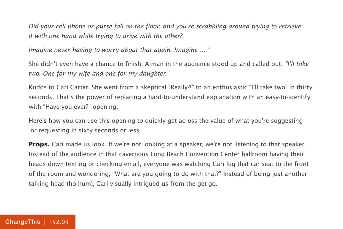Did your cell phone or purse fall on the floor, and you're scrabbling around trying to retrieve it with one hand while trying to drive with the other?

Imagine never having to worry about that again. Imagine … "

She didn't even have a chance to finish. A man in the audience stood up and called out, "I'll take two. One for my wife and one for my daughter."

Kudos to Cari Carter. She went from a skeptical "Really?!" to an enthusiastic "I'll take two" in thirty seconds. That's the power of replacing a hard-to-understand explanation with an easy-to-identify with "Have you ever?" opening.

Here's how you can use this opening to quickly get across the value of what you're suggesting or requesting in sixty seconds or less.

**Props.** Cari made us look. If we're not looking at a speaker, we're not listening to that speaker. Instead of the audience in that cavernous Long Beach Convention Center ballroom having their heads down texting or checking email, everyone was watching Cari lug that car seat to the front of the room and wondering, "What are you going to do with that?" Instead of being just another talking head (ho hum), Cari visually intrigued us from the get-go.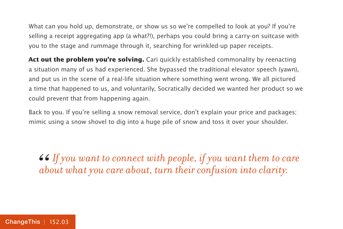What can you hold up, demonstrate, or show us so we're compelled to look at you? If you're selling a receipt aggregating app (a what?!), perhaps you could bring a carry-on suitcase with you to the stage and rummage through it, searching for wrinkled-up paper receipts.

**Act out the problem you're solving.** Cari quickly established commonality by reenacting a situation many of us had experienced. She bypassed the traditional elevator speech (yawn), and put us in the scene of a real-life situation where something went wrong. We all pictured a time that happened to us, and voluntarily, Socratically decided we wanted her product so we could prevent that from happening again.

Back to you. If you're selling a snow removal service, don't explain your price and packages; mimic using a snow shovel to dig into a huge pile of snow and toss it over your shoulder.

*If you want to connect with people, if you want them to care*  66<br>*ab about what you care about, turn their confusion into clarity.*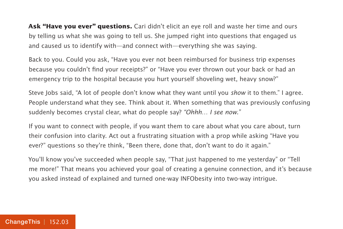Ask "Have you ever" questions. Cari didn't elicit an eye roll and waste her time and ours by telling us what she was going to tell us. She jumped right into questions that engaged us and caused us to identify with—and connect with—everything she was saying.

Back to you. Could you ask, "Have you ever not been reimbursed for business trip expenses because you couldn't find your receipts?" or "Have you ever thrown out your back or had an emergency trip to the hospital because you hurt yourself shoveling wet, heavy snow?"

Steve Jobs said, "A lot of people don't know what they want until you show it to them." I agree. People understand what they see. Think about it. When something that was previously confusing suddenly becomes crystal clear, what do people say? "Ohhh... I see now."

If you want to connect with people, if you want them to care about what you care about, turn their confusion into clarity. Act out a frustrating situation with a prop while asking "Have you ever?" questions so they're think, "Been there, done that, don't want to do it again."

You'll know you've succeeded when people say, "That just happened to me yesterday" or "Tell me more!" That means you achieved your goal of creating a genuine connection, and it's because you asked instead of explained and turned one-way INFObesity into two-way intrigue.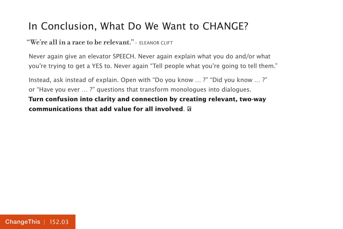## In Conclusion, What Do We Want to CHANGE?

## **"We're all in a race to be relevant."**– ELEANOR CLIFT

Never again give an elevator SPEECH. Never again explain what you do and/or what you're trying to get a YES to. Never again "Tell people what you're going to tell them."

Instead, ask instead of explain. Open with "Do you know … ?" "Did you know … ?" or "Have you ever … ?" questions that transform monologues into dialogues.

## **Turn confusion into clarity and connection by creating relevant, two-way communications that add value for all involved**.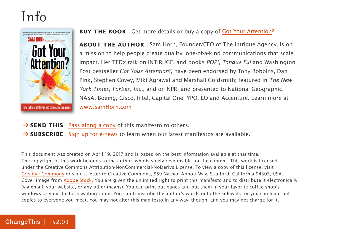# Info



#### **BUY THE BOOK** | Get more details or buy a copy of [Got Your Attention?](https://800ceoread.com/products/got-your-attention-sam-horn-english?selected=51335)

**ABOUT THE AUTHOR** | Sam Horn, Founder/CEO of The Intrigue Agency, is on a mission to help people create quality, one-of-a-kind communications that scale impact. Her TEDx talk on INTIRUGE, and books POP!, Tongue Fu! and Washington Post bestseller Got Your Attention?, have been endorsed by Tony Robbins, Dan Pink, Stephen Covey, Miki Agrawal and Marshall Goldsmith; featured in The New York Times, Forbes, Inc., and on NPR; and presented to National Geographic, NASA, Boeing, Cisco, Intel, Capital One, YPO, EO and Accenture. Learn more at [www.SamHorn.com](http://samhorn.com/)

- **→ SEND THIS** | [Pass along a copy](http://www.changethis.com/152.03.GotYourAttention/email) of this manifesto to others.
- **→ SUBSCRIBE** | [Sign up for e-news](http://changethis.com/page/show/e_mail_newsletter) to learn when our latest manifestos are available.

This document was created on April 19, 2017 and is based on the best information available at that time. The copyright of this work belongs to the author, who is solely responsible for the content. This work is licensed under the Creative Commons Attribution-NonCommercial-NoDerivs License. To view a copy of this license, visit [Creative Commons](http://creativecommons.org/licenses/by-nc-nd/2.0/) or send a letter to Creative Commons, 559 Nathan Abbott Way, Stanford, California 94305, USA. Cover image from [Adobe Stock.](https://stock.adobe.com) You are given the unlimited right to print this manifesto and to distribute it electronically (via email, your website, or any other means). You can print out pages and put them in your favorite coffee shop's windows or your doctor's waiting room. You can transcribe the author's words onto the sidewalk, or you can hand out copies to everyone you meet. You may not alter this manifesto in any way, though, and you may not charge for it.